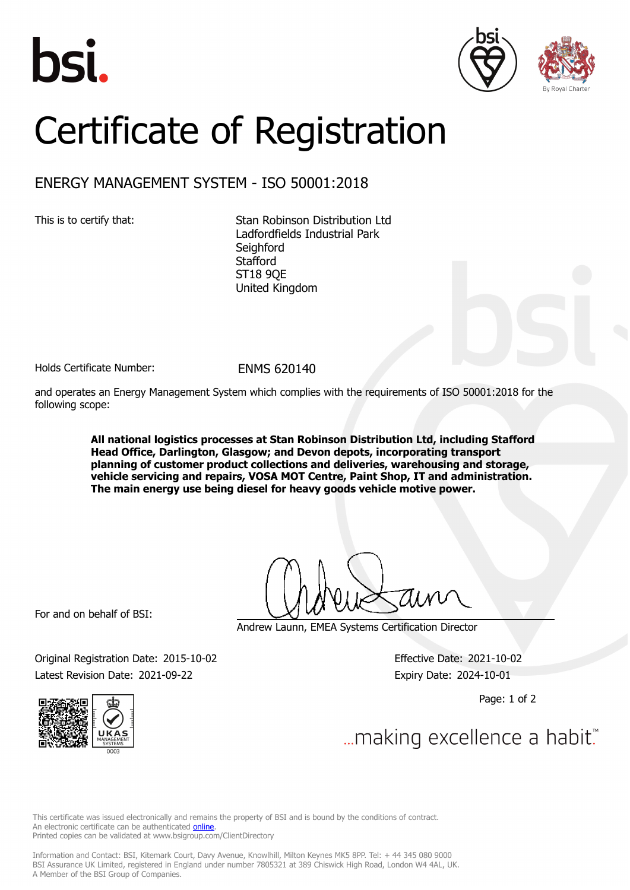





## Certificate of Registration

## ENERGY MANAGEMENT SYSTEM - ISO 50001:2018

This is to certify that: Stan Robinson Distribution Ltd Ladfordfields Industrial Park **Seighford Stafford** ST18 9QE United Kingdom

Holds Certificate Number: FNMS 620140

and operates an Energy Management System which complies with the requirements of ISO 50001:2018 for the following scope:

> **All national logistics processes at Stan Robinson Distribution Ltd, including Stafford Head Office, Darlington, Glasgow; and Devon depots, incorporating transport planning of customer product collections and deliveries, warehousing and storage, vehicle servicing and repairs, VOSA MOT Centre, Paint Shop, IT and administration. The main energy use being diesel for heavy goods vehicle motive power.**

For and on behalf of BSI:

Andrew Launn, EMEA Systems Certification Director

Original Registration Date: 2015-10-02 Effective Date: 2021-10-02 Latest Revision Date: 2021-09-22 Expiry Date: 2024-10-01

Page: 1 of 2





... making excellence a habit.

This certificate was issued electronically and remains the property of BSI and is bound by the conditions of contract. An electronic certificate can be authenticated **[online](https://pgplus.bsigroup.com/CertificateValidation/CertificateValidator.aspx?CertificateNumber=ENMS+620140&ReIssueDate=22%2f09%2f2021&Template=uk)**. Printed copies can be validated at www.bsigroup.com/ClientDirectory

Information and Contact: BSI, Kitemark Court, Davy Avenue, Knowlhill, Milton Keynes MK5 8PP. Tel: + 44 345 080 9000 BSI Assurance UK Limited, registered in England under number 7805321 at 389 Chiswick High Road, London W4 4AL, UK. A Member of the BSI Group of Companies.